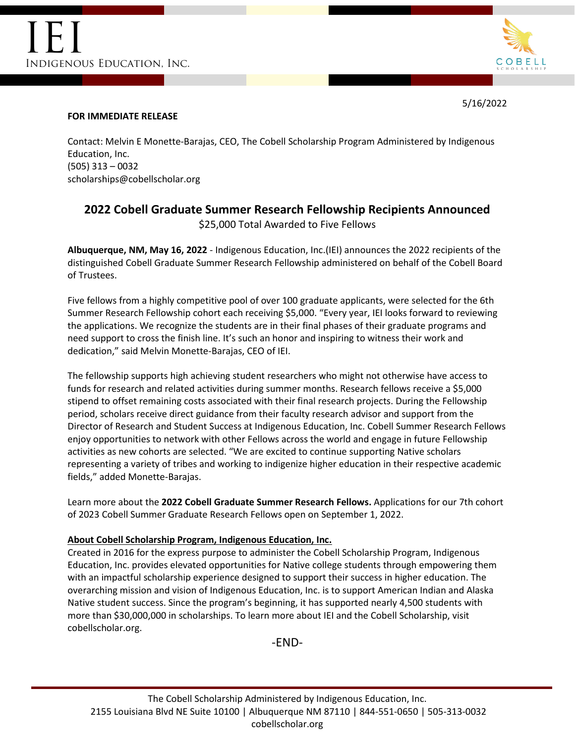

5/16/2022

#### **FOR IMMEDIATE RELEASE**

Contact: Melvin E Monette-Barajas, CEO, The Cobell Scholarship Program Administered by Indigenous Education, Inc. (505) 313 – 0032 scholarships@cobellscholar.org

# **2022 Cobell Graduate Summer Research Fellowship Recipients Announced** \$25,000 Total Awarded to Five Fellows

**Albuquerque, NM, May 16, 2022** - Indigenous Education, Inc.(IEI) announces the 2022 recipients of the distinguished Cobell Graduate Summer Research Fellowship administered on behalf of the Cobell Board of Trustees.

Five fellows from a highly competitive pool of over 100 graduate applicants, were selected for the 6th Summer Research Fellowship cohort each receiving \$5,000. "Every year, IEI looks forward to reviewing the applications. We recognize the students are in their final phases of their graduate programs and need support to cross the finish line. It's such an honor and inspiring to witness their work and dedication," said Melvin Monette-Barajas, CEO of IEI.

The fellowship supports high achieving student researchers who might not otherwise have access to funds for research and related activities during summer months. Research fellows receive a \$5,000 stipend to offset remaining costs associated with their final research projects. During the Fellowship period, scholars receive direct guidance from their faculty research advisor and support from the Director of Research and Student Success at Indigenous Education, Inc. Cobell Summer Research Fellows enjoy opportunities to network with other Fellows across the world and engage in future Fellowship activities as new cohorts are selected. "We are excited to continue supporting Native scholars representing a variety of tribes and working to indigenize higher education in their respective academic fields," added Monette-Barajas.

Learn more about the **2022 Cobell Graduate Summer Research Fellows.** Applications for our 7th cohort of 2023 Cobell Summer Graduate Research Fellows open on September 1, 2022.

### **About Cobell Scholarship Program, Indigenous Education, Inc.**

Created in 2016 for the express purpose to administer the Cobell Scholarship Program, Indigenous Education, Inc. provides elevated opportunities for Native college students through empowering them with an impactful scholarship experience designed to support their success in higher education. The overarching mission and vision of Indigenous Education, Inc. is to support American Indian and Alaska Native student success. Since the program's beginning, it has supported nearly 4,500 students with more than \$30,000,000 in scholarships. To learn more about IEI and the Cobell Scholarship, visit cobellscholar.org.

-END-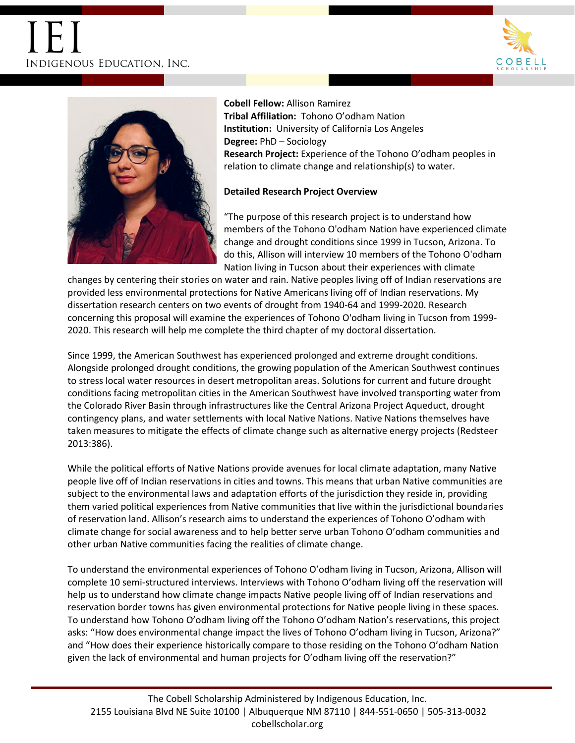# IEI Indigenous Education, Inc.





**Cobell Fellow:** Allison Ramirez **Tribal Affiliation:** Tohono O'odham Nation **Institution:** University of California Los Angeles **Degree:** PhD – Sociology **Research Project:** Experience of the Tohono O'odham peoples in relation to climate change and relationship(s) to water.

#### **Detailed Research Project Overview**

"The purpose of this research project is to understand how members of the Tohono O'odham Nation have experienced climate change and drought conditions since 1999 in Tucson, Arizona. To do this, Allison will interview 10 members of the Tohono O'odham Nation living in Tucson about their experiences with climate

changes by centering their stories on water and rain. Native peoples living off of Indian reservations are provided less environmental protections for Native Americans living off of Indian reservations. My dissertation research centers on two events of drought from 1940-64 and 1999-2020. Research concerning this proposal will examine the experiences of Tohono O'odham living in Tucson from 1999- 2020. This research will help me complete the third chapter of my doctoral dissertation.

Since 1999, the American Southwest has experienced prolonged and extreme drought conditions. Alongside prolonged drought conditions, the growing population of the American Southwest continues to stress local water resources in desert metropolitan areas. Solutions for current and future drought conditions facing metropolitan cities in the American Southwest have involved transporting water from the Colorado River Basin through infrastructures like the Central Arizona Project Aqueduct, drought contingency plans, and water settlements with local Native Nations. Native Nations themselves have taken measures to mitigate the effects of climate change such as alternative energy projects (Redsteer 2013:386).

While the political efforts of Native Nations provide avenues for local climate adaptation, many Native people live off of Indian reservations in cities and towns. This means that urban Native communities are subject to the environmental laws and adaptation efforts of the jurisdiction they reside in, providing them varied political experiences from Native communities that live within the jurisdictional boundaries of reservation land. Allison's research aims to understand the experiences of Tohono O'odham with climate change for social awareness and to help better serve urban Tohono O'odham communities and other urban Native communities facing the realities of climate change.

To understand the environmental experiences of Tohono O'odham living in Tucson, Arizona, Allison will complete 10 semi-structured interviews. Interviews with Tohono O'odham living off the reservation will help us to understand how climate change impacts Native people living off of Indian reservations and reservation border towns has given environmental protections for Native people living in these spaces. To understand how Tohono O'odham living off the Tohono O'odham Nation's reservations, this project asks: "How does environmental change impact the lives of Tohono O'odham living in Tucson, Arizona?" and "How does their experience historically compare to those residing on the Tohono O'odham Nation given the lack of environmental and human projects for O'odham living off the reservation?"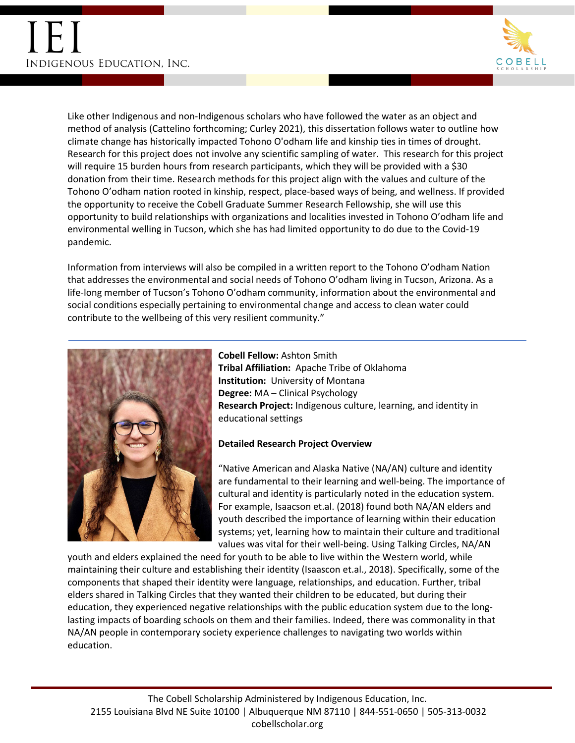

Like other Indigenous and non-Indigenous scholars who have followed the water as an object and method of analysis (Cattelino forthcoming; Curley 2021), this dissertation follows water to outline how climate change has historically impacted Tohono O'odham life and kinship ties in times of drought. Research for this project does not involve any scientific sampling of water. This research for this project will require 15 burden hours from research participants, which they will be provided with a \$30 donation from their time. Research methods for this project align with the values and culture of the Tohono O'odham nation rooted in kinship, respect, place-based ways of being, and wellness. If provided the opportunity to receive the Cobell Graduate Summer Research Fellowship, she will use this opportunity to build relationships with organizations and localities invested in Tohono O'odham life and environmental welling in Tucson, which she has had limited opportunity to do due to the Covid-19 pandemic.

Information from interviews will also be compiled in a written report to the Tohono O'odham Nation that addresses the environmental and social needs of Tohono O'odham living in Tucson, Arizona. As a life-long member of Tucson's Tohono O'odham community, information about the environmental and social conditions especially pertaining to environmental change and access to clean water could contribute to the wellbeing of this very resilient community."



**Cobell Fellow:** Ashton Smith **Tribal Affiliation:** Apache Tribe of Oklahoma **Institution:** University of Montana **Degree:** MA – Clinical Psychology **Research Project:** Indigenous culture, learning, and identity in educational settings

### **Detailed Research Project Overview**

"Native American and Alaska Native (NA/AN) culture and identity are fundamental to their learning and well-being. The importance of cultural and identity is particularly noted in the education system. For example, Isaacson et.al. (2018) found both NA/AN elders and youth described the importance of learning within their education systems; yet, learning how to maintain their culture and traditional values was vital for their well-being. Using Talking Circles, NA/AN

youth and elders explained the need for youth to be able to live within the Western world, while maintaining their culture and establishing their identity (Isaascon et.al., 2018). Specifically, some of the components that shaped their identity were language, relationships, and education. Further, tribal elders shared in Talking Circles that they wanted their children to be educated, but during their education, they experienced negative relationships with the public education system due to the longlasting impacts of boarding schools on them and their families. Indeed, there was commonality in that NA/AN people in contemporary society experience challenges to navigating two worlds within education.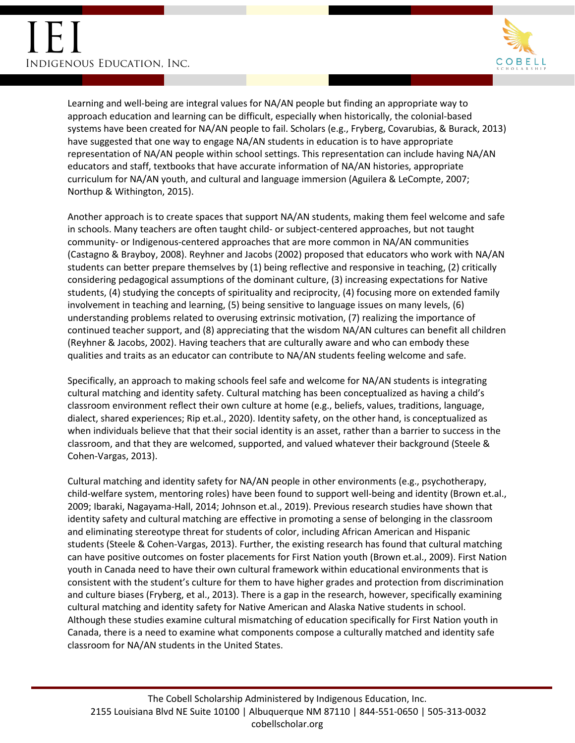

Learning and well-being are integral values for NA/AN people but finding an appropriate way to approach education and learning can be difficult, especially when historically, the colonial-based systems have been created for NA/AN people to fail. Scholars (e.g., Fryberg, Covarubias, & Burack, 2013) have suggested that one way to engage NA/AN students in education is to have appropriate representation of NA/AN people within school settings. This representation can include having NA/AN educators and staff, textbooks that have accurate information of NA/AN histories, appropriate curriculum for NA/AN youth, and cultural and language immersion (Aguilera & LeCompte, 2007; Northup & Withington, 2015).

Another approach is to create spaces that support NA/AN students, making them feel welcome and safe in schools. Many teachers are often taught child- or subject-centered approaches, but not taught community- or Indigenous-centered approaches that are more common in NA/AN communities (Castagno & Brayboy, 2008). Reyhner and Jacobs (2002) proposed that educators who work with NA/AN students can better prepare themselves by (1) being reflective and responsive in teaching, (2) critically considering pedagogical assumptions of the dominant culture, (3) increasing expectations for Native students, (4) studying the concepts of spirituality and reciprocity, (4) focusing more on extended family involvement in teaching and learning, (5) being sensitive to language issues on many levels, (6) understanding problems related to overusing extrinsic motivation, (7) realizing the importance of continued teacher support, and (8) appreciating that the wisdom NA/AN cultures can benefit all children (Reyhner & Jacobs, 2002). Having teachers that are culturally aware and who can embody these qualities and traits as an educator can contribute to NA/AN students feeling welcome and safe.

Specifically, an approach to making schools feel safe and welcome for NA/AN students is integrating cultural matching and identity safety. Cultural matching has been conceptualized as having a child's classroom environment reflect their own culture at home (e.g., beliefs, values, traditions, language, dialect, shared experiences; Rip et.al., 2020). Identity safety, on the other hand, is conceptualized as when individuals believe that that their social identity is an asset, rather than a barrier to success in the classroom, and that they are welcomed, supported, and valued whatever their background (Steele & Cohen-Vargas, 2013).

Cultural matching and identity safety for NA/AN people in other environments (e.g., psychotherapy, child-welfare system, mentoring roles) have been found to support well-being and identity (Brown et.al., 2009; Ibaraki, Nagayama-Hall, 2014; Johnson et.al., 2019). Previous research studies have shown that identity safety and cultural matching are effective in promoting a sense of belonging in the classroom and eliminating stereotype threat for students of color, including African American and Hispanic students (Steele & Cohen-Vargas, 2013). Further, the existing research has found that cultural matching can have positive outcomes on foster placements for First Nation youth (Brown et.al., 2009). First Nation youth in Canada need to have their own cultural framework within educational environments that is consistent with the student's culture for them to have higher grades and protection from discrimination and culture biases (Fryberg, et al., 2013). There is a gap in the research, however, specifically examining cultural matching and identity safety for Native American and Alaska Native students in school. Although these studies examine cultural mismatching of education specifically for First Nation youth in Canada, there is a need to examine what components compose a culturally matched and identity safe classroom for NA/AN students in the United States.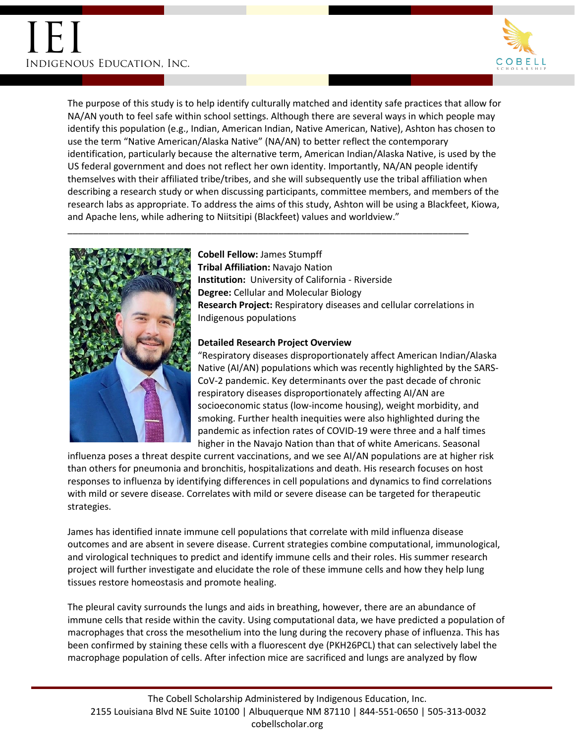

The purpose of this study is to help identify culturally matched and identity safe practices that allow for NA/AN youth to feel safe within school settings. Although there are several ways in which people may identify this population (e.g., Indian, American Indian, Native American, Native), Ashton has chosen to use the term "Native American/Alaska Native" (NA/AN) to better reflect the contemporary identification, particularly because the alternative term, American Indian/Alaska Native, is used by the US federal government and does not reflect her own identity. Importantly, NA/AN people identify themselves with their affiliated tribe/tribes, and she will subsequently use the tribal affiliation when describing a research study or when discussing participants, committee members, and members of the research labs as appropriate. To address the aims of this study, Ashton will be using a Blackfeet, Kiowa, and Apache lens, while adhering to Niitsitipi (Blackfeet) values and worldview."



## **Cobell Fellow:** James Stumpff

\_\_\_\_\_\_\_\_\_\_\_\_\_\_\_\_\_\_\_\_\_\_\_\_\_\_\_\_\_\_\_\_\_\_\_\_\_\_\_\_\_\_\_\_\_\_\_\_\_\_\_\_\_\_\_\_\_\_\_\_\_\_\_\_\_\_\_\_\_\_\_\_\_\_\_\_\_\_

**Tribal Affiliation:** Navajo Nation **Institution:** University of California - Riverside **Degree:** Cellular and Molecular Biology **Research Project:** Respiratory diseases and cellular correlations in Indigenous populations

### **Detailed Research Project Overview**

"Respiratory diseases disproportionately affect American Indian/Alaska Native (AI/AN) populations which was recently highlighted by the SARS-CoV-2 pandemic. Key determinants over the past decade of chronic respiratory diseases disproportionately affecting AI/AN are socioeconomic status (low-income housing), weight morbidity, and smoking. Further health inequities were also highlighted during the pandemic as infection rates of COVID-19 were three and a half times higher in the Navajo Nation than that of white Americans. Seasonal

influenza poses a threat despite current vaccinations, and we see AI/AN populations are at higher risk than others for pneumonia and bronchitis, hospitalizations and death. His research focuses on host responses to influenza by identifying differences in cell populations and dynamics to find correlations with mild or severe disease. Correlates with mild or severe disease can be targeted for therapeutic strategies.

James has identified innate immune cell populations that correlate with mild influenza disease outcomes and are absent in severe disease. Current strategies combine computational, immunological, and virological techniques to predict and identify immune cells and their roles. His summer research project will further investigate and elucidate the role of these immune cells and how they help lung tissues restore homeostasis and promote healing.

The pleural cavity surrounds the lungs and aids in breathing, however, there are an abundance of immune cells that reside within the cavity. Using computational data, we have predicted a population of macrophages that cross the mesothelium into the lung during the recovery phase of influenza. This has been confirmed by staining these cells with a fluorescent dye (PKH26PCL) that can selectively label the macrophage population of cells. After infection mice are sacrificed and lungs are analyzed by flow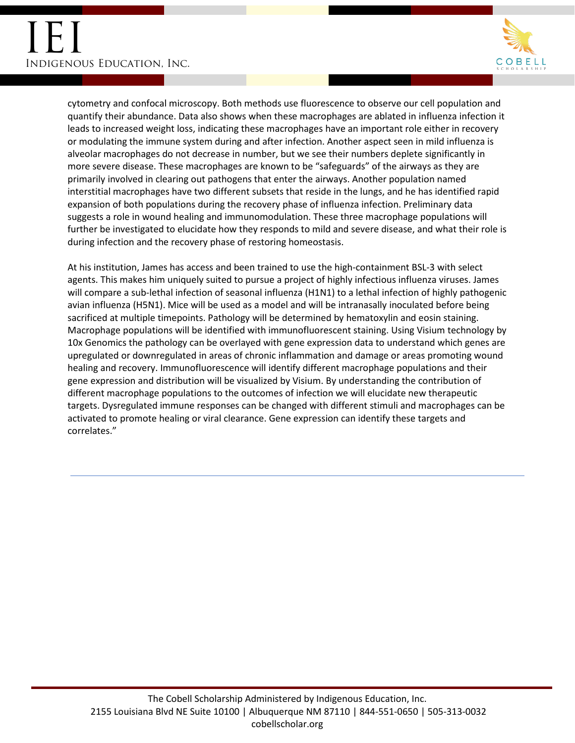

cytometry and confocal microscopy. Both methods use fluorescence to observe our cell population and quantify their abundance. Data also shows when these macrophages are ablated in influenza infection it leads to increased weight loss, indicating these macrophages have an important role either in recovery or modulating the immune system during and after infection. Another aspect seen in mild influenza is alveolar macrophages do not decrease in number, but we see their numbers deplete significantly in more severe disease. These macrophages are known to be "safeguards" of the airways as they are primarily involved in clearing out pathogens that enter the airways. Another population named interstitial macrophages have two different subsets that reside in the lungs, and he has identified rapid expansion of both populations during the recovery phase of influenza infection. Preliminary data suggests a role in wound healing and immunomodulation. These three macrophage populations will further be investigated to elucidate how they responds to mild and severe disease, and what their role is during infection and the recovery phase of restoring homeostasis.

At his institution, James has access and been trained to use the high-containment BSL-3 with select agents. This makes him uniquely suited to pursue a project of highly infectious influenza viruses. James will compare a sub-lethal infection of seasonal influenza (H1N1) to a lethal infection of highly pathogenic avian influenza (H5N1). Mice will be used as a model and will be intranasally inoculated before being sacrificed at multiple timepoints. Pathology will be determined by hematoxylin and eosin staining. Macrophage populations will be identified with immunofluorescent staining. Using Visium technology by 10x Genomics the pathology can be overlayed with gene expression data to understand which genes are upregulated or downregulated in areas of chronic inflammation and damage or areas promoting wound healing and recovery. Immunofluorescence will identify different macrophage populations and their gene expression and distribution will be visualized by Visium. By understanding the contribution of different macrophage populations to the outcomes of infection we will elucidate new therapeutic targets. Dysregulated immune responses can be changed with different stimuli and macrophages can be activated to promote healing or viral clearance. Gene expression can identify these targets and correlates."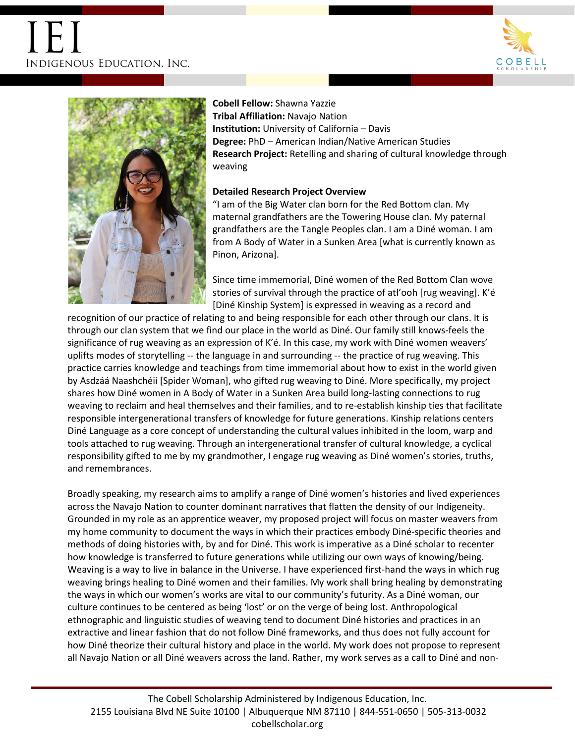



# **Cobell Fellow:** Shawna Yazzie **Tribal Affiliation:** Navajo Nation **Institution:** University of California – Davis **Degree:** PhD – American Indian/Native American Studies **Research Project:** Retelling and sharing of cultural knowledge through weaving

### **Detailed Research Project Overview**

"I am of the Big Water clan born for the Red Bottom clan. My maternal grandfathers are the Towering House clan. My paternal grandfathers are the Tangle Peoples clan. I am a Diné woman. I am from A Body of Water in a Sunken Area [what is currently known as Pinon, Arizona].

Since time immemorial, Diné women of the Red Bottom Clan wove stories of survival through the practice of atł'ooh [rug weaving]. K'é [Diné Kinship System] is expressed in weaving as a record and

recognition of our practice of relating to and being responsible for each other through our clans. It is through our clan system that we find our place in the world as Diné. Our family still knows-feels the significance of rug weaving as an expression of K'é. In this case, my work with Diné women weavers' uplifts modes of storytelling -- the language in and surrounding -- the practice of rug weaving. This practice carries knowledge and teachings from time immemorial about how to exist in the world given by Asdzáá Naashchéii [Spider Woman], who gifted rug weaving to Diné. More specifically, my project shares how Diné women in A Body of Water in a Sunken Area build long-lasting connections to rug weaving to reclaim and heal themselves and their families, and to re-establish kinship ties that facilitate responsible intergenerational transfers of knowledge for future generations. Kinship relations centers Diné Language as a core concept of understanding the cultural values inhibited in the loom, warp and tools attached to rug weaving. Through an intergenerational transfer of cultural knowledge, a cyclical responsibility gifted to me by my grandmother, I engage rug weaving as Diné women's stories, truths, and remembrances.

Broadly speaking, my research aims to amplify a range of Diné women's histories and lived experiences across the Navajo Nation to counter dominant narratives that flatten the density of our Indigeneity. Grounded in my role as an apprentice weaver, my proposed project will focus on master weavers from my home community to document the ways in which their practices embody Diné-specific theories and methods of doing histories with, by and for Diné. This work is imperative as a Diné scholar to recenter how knowledge is transferred to future generations while utilizing our own ways of knowing/being. Weaving is a way to live in balance in the Universe. I have experienced first-hand the ways in which rug weaving brings healing to Diné women and their families. My work shall bring healing by demonstrating the ways in which our women's works are vital to our community's futurity. As a Diné woman, our culture continues to be centered as being 'lost' or on the verge of being lost. Anthropological ethnographic and linguistic studies of weaving tend to document Diné histories and practices in an extractive and linear fashion that do not follow Diné frameworks, and thus does not fully account for how Diné theorize their cultural history and place in the world. My work does not propose to represent all Navajo Nation or all Diné weavers across the land. Rather, my work serves as a call to Diné and non-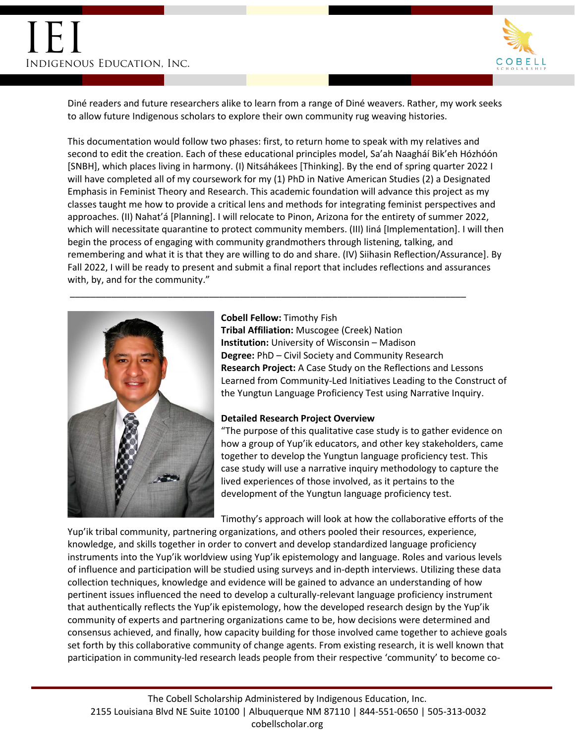

Diné readers and future researchers alike to learn from a range of Diné weavers. Rather, my work seeks to allow future Indigenous scholars to explore their own community rug weaving histories.

This documentation would follow two phases: first, to return home to speak with my relatives and second to edit the creation. Each of these educational principles model, Sa'ah Naagháí Bik'eh Hózhóón [SNBH], which places living in harmony. (I) Nitsáhákees [Thinking]. By the end of spring quarter 2022 I will have completed all of my coursework for my (1) PhD in Native American Studies (2) a Designated Emphasis in Feminist Theory and Research. This academic foundation will advance this project as my classes taught me how to provide a critical lens and methods for integrating feminist perspectives and approaches. (II) Nahat'á [Planning]. I will relocate to Pinon, Arizona for the entirety of summer 2022, which will necessitate quarantine to protect community members. (III) Iiná [Implementation]. I will then begin the process of engaging with community grandmothers through listening, talking, and remembering and what it is that they are willing to do and share. (IV) Siihasin Reflection/Assurance]. By Fall 2022, I will be ready to present and submit a final report that includes reflections and assurances with, by, and for the community."

\_\_\_\_\_\_\_\_\_\_\_\_\_\_\_\_\_\_\_\_\_\_\_\_\_\_\_\_\_\_\_\_\_\_\_\_\_\_\_\_\_\_\_\_\_\_\_\_\_\_\_\_\_\_\_\_\_\_\_\_\_\_\_\_\_\_\_\_\_\_\_\_\_\_\_\_\_



**Cobell Fellow:** Timothy Fish **Tribal Affiliation:** Muscogee (Creek) Nation **Institution:** University of Wisconsin – Madison **Degree:** PhD – Civil Society and Community Research **Research Project:** A Case Study on the Reflections and Lessons Learned from Community-Led Initiatives Leading to the Construct of the Yungtun Language Proficiency Test using Narrative Inquiry.

#### **Detailed Research Project Overview**

"The purpose of this qualitative case study is to gather evidence on how a group of Yup'ik educators, and other key stakeholders, came together to develop the Yungtun language proficiency test. This case study will use a narrative inquiry methodology to capture the lived experiences of those involved, as it pertains to the development of the Yungtun language proficiency test.

Timothy's approach will look at how the collaborative efforts of the

Yup'ik tribal community, partnering organizations, and others pooled their resources, experience, knowledge, and skills together in order to convert and develop standardized language proficiency instruments into the Yup'ik worldview using Yup'ik epistemology and language. Roles and various levels of influence and participation will be studied using surveys and in-depth interviews. Utilizing these data collection techniques, knowledge and evidence will be gained to advance an understanding of how pertinent issues influenced the need to develop a culturally-relevant language proficiency instrument that authentically reflects the Yup'ik epistemology, how the developed research design by the Yup'ik community of experts and partnering organizations came to be, how decisions were determined and consensus achieved, and finally, how capacity building for those involved came together to achieve goals set forth by this collaborative community of change agents. From existing research, it is well known that participation in community-led research leads people from their respective 'community' to become co-